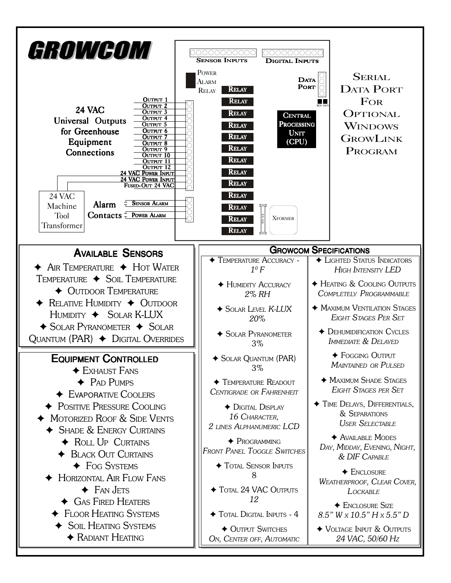